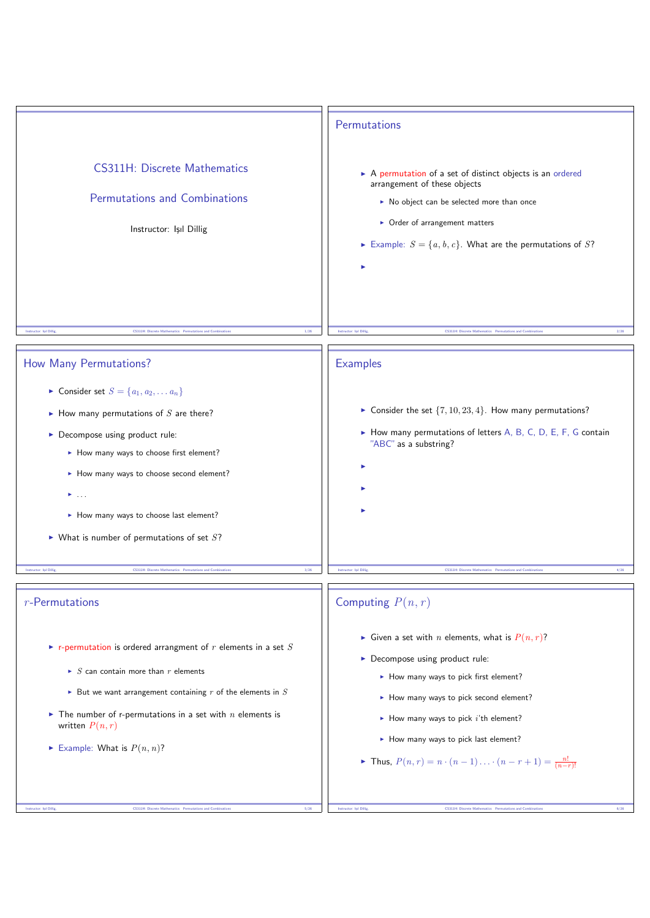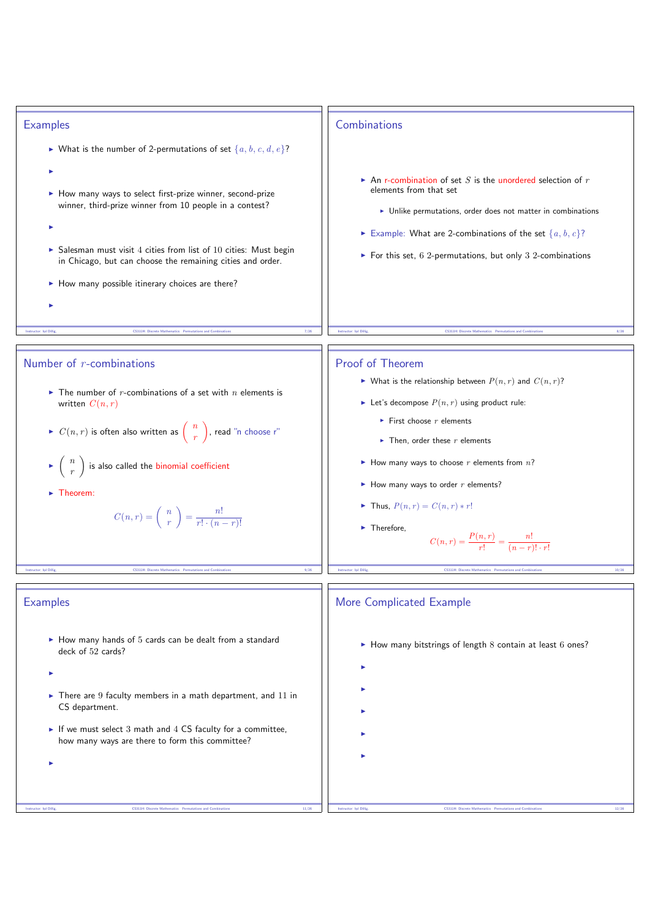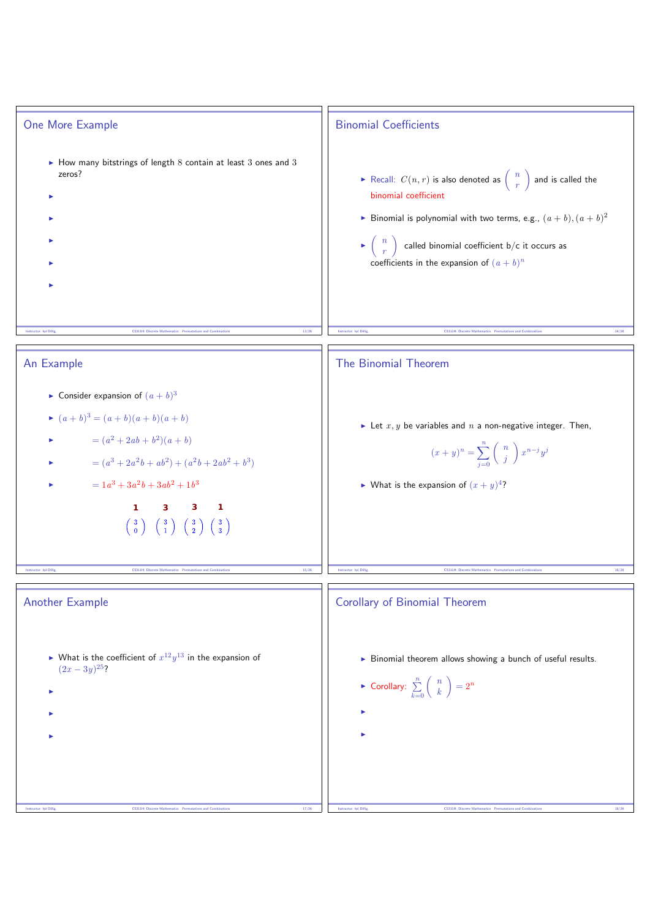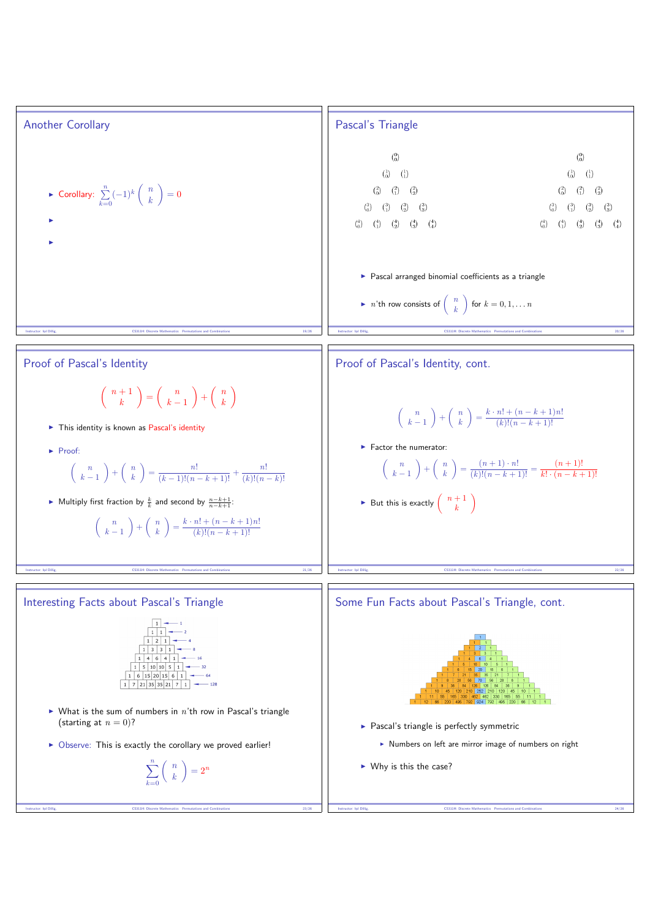